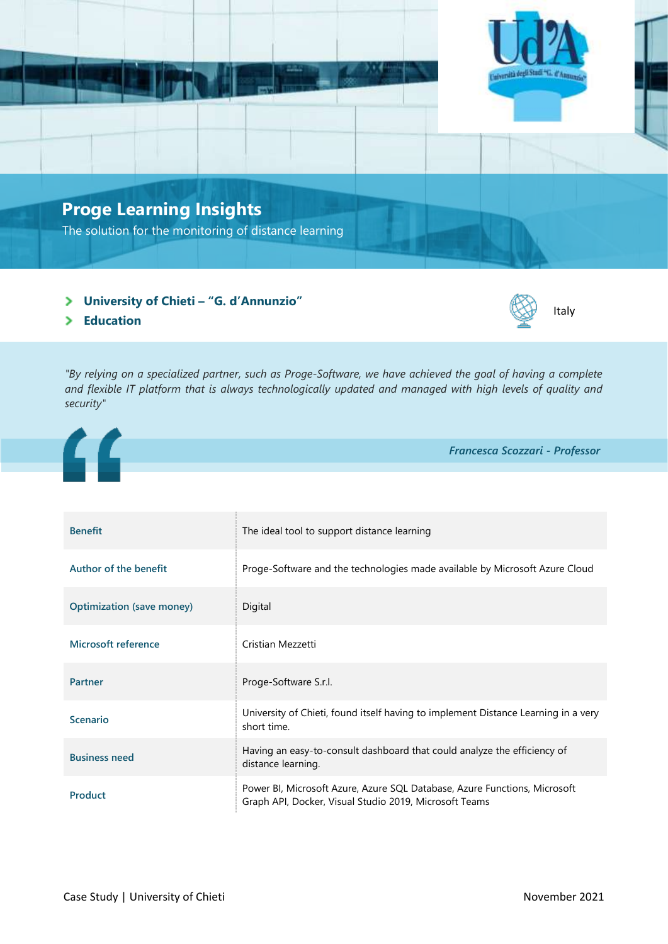

- **University of Chieti – "G. d'Annunzio"**
- **Education**

*"By relying on a specialized partner, such as Proge-Software, we have achieved the goal of having a complete and flexible IT platform that is always technologically updated and managed with high levels of quality and security"*



| <b>Benefit</b>                   | The ideal tool to support distance learning                                                                                         |
|----------------------------------|-------------------------------------------------------------------------------------------------------------------------------------|
| Author of the benefit            | Proge-Software and the technologies made available by Microsoft Azure Cloud                                                         |
| <b>Optimization (save money)</b> | Digital                                                                                                                             |
| Microsoft reference              | Cristian Mezzetti                                                                                                                   |
| <b>Partner</b>                   | Proge-Software S.r.l.                                                                                                               |
| <b>Scenario</b>                  | University of Chieti, found itself having to implement Distance Learning in a very<br>short time.                                   |
| <b>Business need</b>             | Having an easy-to-consult dashboard that could analyze the efficiency of<br>distance learning.                                      |
| <b>Product</b>                   | Power BI, Microsoft Azure, Azure SQL Database, Azure Functions, Microsoft<br>Graph API, Docker, Visual Studio 2019, Microsoft Teams |

Italy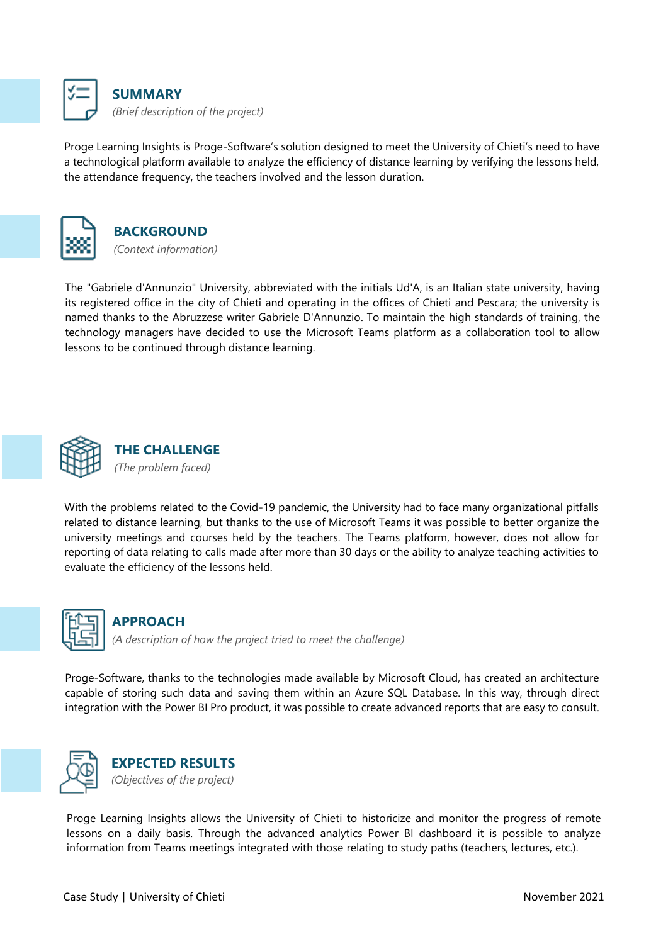

Proge Learning Insights is Proge-Software's solution designed to meet the University of Chieti's need to have a technological platform available to analyze the efficiency of distance learning by verifying the lessons held, the attendance frequency, the teachers involved and the lesson duration.





The "Gabriele d'Annunzio" University, abbreviated with the initials Ud'A, is an Italian state university, having its registered office in the city of Chieti and operating in the offices of Chieti and Pescara; the university is named thanks to the Abruzzese writer Gabriele D'Annunzio. To maintain the high standards of training, the technology managers have decided to use the Microsoft Teams platform as a collaboration tool to allow lessons to be continued through distance learning.



With the problems related to the Covid-19 pandemic, the University had to face many organizational pitfalls related to distance learning, but thanks to the use of Microsoft Teams it was possible to better organize the university meetings and courses held by the teachers. The Teams platform, however, does not allow for reporting of data relating to calls made after more than 30 days or the ability to analyze teaching activities to evaluate the efficiency of the lessons held.



## **APPROACH**

*(A description of how the project tried to meet the challenge)*

Proge-Software, thanks to the technologies made available by Microsoft Cloud, has created an architecture capable of storing such data and saving them within an Azure SQL Database. In this way, through direct integration with the Power BI Pro product, it was possible to create advanced reports that are easy to consult.





Proge Learning Insights allows the University of Chieti to historicize and monitor the progress of remote lessons on a daily basis. Through the advanced analytics Power BI dashboard it is possible to analyze information from Teams meetings integrated with those relating to study paths (teachers, lectures, etc.).